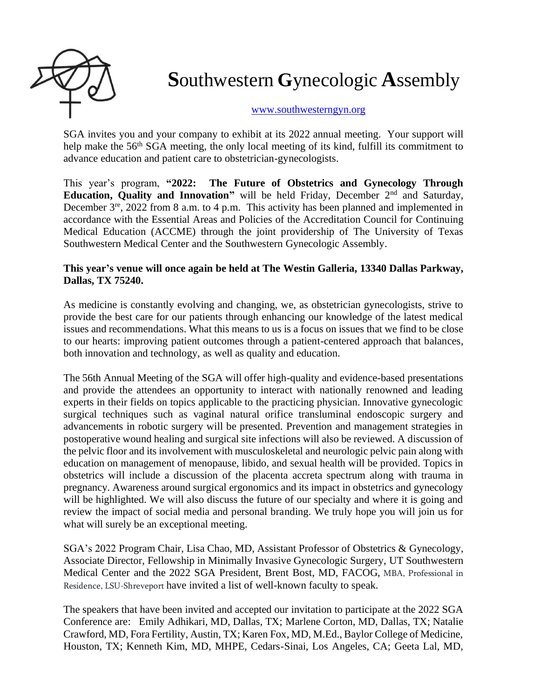

## **S**outhwestern **G**ynecologic **A**ssembly

## [www.southwesterngyn.org](http://www.southwesterngyn.org/)

SGA invites you and your company to exhibit at its 2022 annual meeting. Your support will help make the 56<sup>th</sup> SGA meeting, the only local meeting of its kind, fulfill its commitment to advance education and patient care to obstetrician-gynecologists.

This year's program, **"2022: The Future of Obstetrics and Gynecology Through Education, Quality and Innovation"** will be held Friday, December 2<sup>nd</sup> and Saturday, December 3<sup>re</sup>, 2022 from 8 a.m. to 4 p.m. This activity has been planned and implemented in accordance with the Essential Areas and Policies of the Accreditation Council for Continuing Medical Education (ACCME) through the joint providership of The University of Texas Southwestern Medical Center and the Southwestern Gynecologic Assembly.

## **This year's venue will once again be held at The Westin Galleria, 13340 Dallas Parkway, Dallas, TX 75240.**

As medicine is constantly evolving and changing, we, as obstetrician gynecologists, strive to provide the best care for our patients through enhancing our knowledge of the latest medical issues and recommendations. What this means to us is a focus on issues that we find to be close to our hearts: improving patient outcomes through a patient-centered approach that balances, both innovation and technology, as well as quality and education.

The 56th Annual Meeting of the SGA will offer high-quality and evidence-based presentations and provide the attendees an opportunity to interact with nationally renowned and leading experts in their fields on topics applicable to the practicing physician. Innovative gynecologic surgical techniques such as vaginal natural orifice transluminal endoscopic surgery and advancements in robotic surgery will be presented. Prevention and management strategies in postoperative wound healing and surgical site infections will also be reviewed. A discussion of the pelvic floor and its involvement with musculoskeletal and neurologic pelvic pain along with education on management of menopause, libido, and sexual health will be provided. Topics in obstetrics will include a discussion of the placenta accreta spectrum along with trauma in pregnancy. Awareness around surgical ergonomics and its impact in obstetrics and gynecology will be highlighted. We will also discuss the future of our specialty and where it is going and review the impact of social media and personal branding. We truly hope you will join us for what will surely be an exceptional meeting.

SGA's 2022 Program Chair, Lisa Chao, MD, Assistant Professor of Obstetrics & Gynecology, Associate Director, Fellowship in Minimally Invasive Gynecologic Surgery, UT Southwestern Medical Center and the 2022 SGA President, Brent Bost, MD, FACOG, MBA, Professional in Residence, LSU-Shreveport have invited a list of well-known faculty to speak.

The speakers that have been invited and accepted our invitation to participate at the 2022 SGA Conference are: Emily Adhikari, MD, Dallas, TX; Marlene Corton, MD, Dallas, TX; Natalie Crawford, MD, Fora Fertility, Austin, TX; Karen Fox, MD, M.Ed., Baylor College of Medicine, Houston, TX; Kenneth Kim, MD, MHPE, Cedars-Sinai, Los Angeles, CA; Geeta Lal, MD,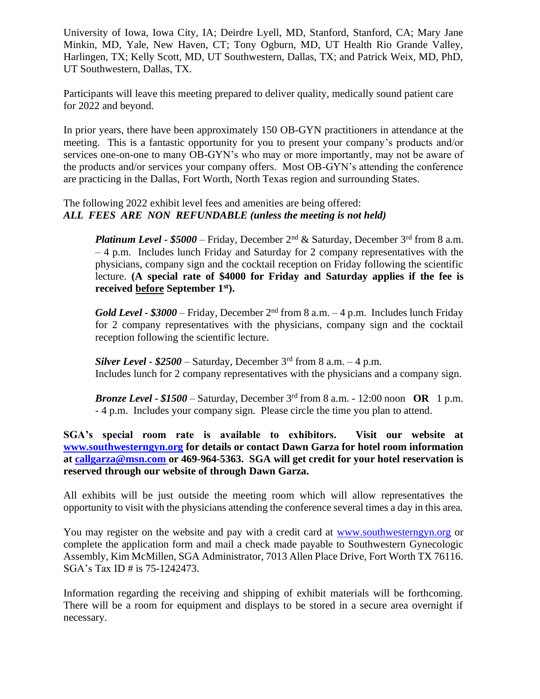University of Iowa, Iowa City, IA; Deirdre Lyell, MD, Stanford, Stanford, CA; Mary Jane Minkin, MD, Yale, New Haven, CT; Tony Ogburn, MD, UT Health Rio Grande Valley, Harlingen, TX; Kelly Scott, MD, UT Southwestern, Dallas, TX; and Patrick Weix, MD, PhD, UT Southwestern, Dallas, TX.

Participants will leave this meeting prepared to deliver quality, medically sound patient care for 2022 and beyond.

In prior years, there have been approximately 150 OB-GYN practitioners in attendance at the meeting. This is a fantastic opportunity for you to present your company's products and/or services one-on-one to many OB-GYN's who may or more importantly, may not be aware of the products and/or services your company offers. Most OB-GYN's attending the conference are practicing in the Dallas, Fort Worth, North Texas region and surrounding States.

## The following 2022 exhibit level fees and amenities are being offered: *ALL FEES ARE NON REFUNDABLE (unless the meeting is not held)*

*Platinum Level - \$5000* – Friday, December 2nd & Saturday, December 3rd from 8 a.m. – 4 p.m. Includes lunch Friday and Saturday for 2 company representatives with the physicians, company sign and the cocktail reception on Friday following the scientific lecture. **(A special rate of \$4000 for Friday and Saturday applies if the fee is received before September 1 st).**

*Gold Level -*  $$3000$  – Friday, December  $2<sup>nd</sup>$  from 8 a.m. – 4 p.m. Includes lunch Friday for 2 company representatives with the physicians, company sign and the cocktail reception following the scientific lecture.

*Silver Level -*  $$2500 - Saturday$ *, December 3<sup>rd</sup> from 8 a.m. - 4 p.m.* Includes lunch for 2 company representatives with the physicians and a company sign.

*Bronze Level -*  $$1500$  *– Saturday, December 3<sup>rd</sup> from 8 a.m. - 12:00 noon OR 1 p.m.* - 4 p.m. Includes your company sign. Please circle the time you plan to attend.

**SGA's special room rate is available to exhibitors. Visit our website at [www.southwesterngyn.org](http://www.southwesterngyn.org/) for details or contact Dawn Garza for hotel room information at [callgarza@msn.com](mailto:callgarza@msn.com) or 469-964-5363. SGA will get credit for your hotel reservation is reserved through our website of through Dawn Garza.**

All exhibits will be just outside the meeting room which will allow representatives the opportunity to visit with the physicians attending the conference several times a day in this area.

You may register on the website and pay with a credit card at [www.southwesterngyn.org](http://www.southwesterngyn.org/) or complete the application form and mail a check made payable to Southwestern Gynecologic Assembly, Kim McMillen, SGA Administrator, 7013 Allen Place Drive, Fort Worth TX 76116. SGA's Tax ID # is 75-1242473.

Information regarding the receiving and shipping of exhibit materials will be forthcoming. There will be a room for equipment and displays to be stored in a secure area overnight if necessary.